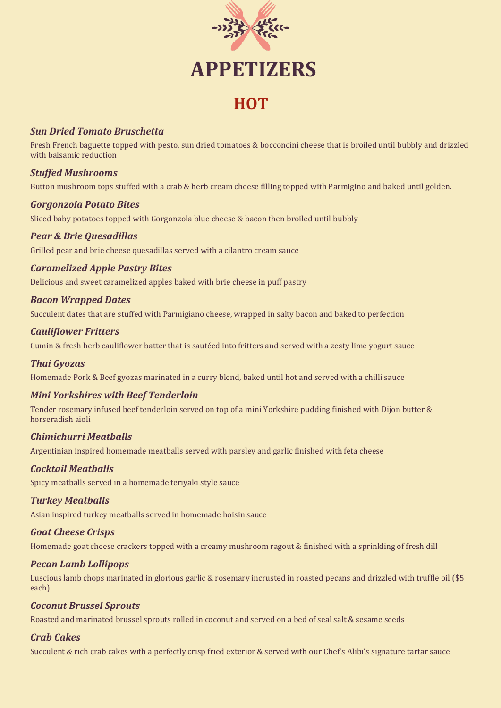

# **APPETIZERS**

# **HOT**

# *Sun Dried Tomato Bruschetta*

Fresh French baguette topped with pesto, sun dried tomatoes & bocconcini cheese that is broiled until bubbly and drizzled with balsamic reduction

# *Stuffed Mushrooms*

Button mushroom tops stuffed with a crab & herb cream cheese filling topped with Parmigino and baked until golden.

# *Gorgonzola Potato Bites*

Sliced baby potatoes topped with Gorgonzola blue cheese & bacon then broiled until bubbly

# *Pear & Brie Quesadillas*

Grilled pear and brie cheese quesadillas served with a cilantro cream sauce

# *Caramelized Apple Pastry Bites*

Delicious and sweet caramelized apples baked with brie cheese in puff pastry

# *Bacon Wrapped Dates*

Succulent dates that are stuffed with Parmigiano cheese, wrapped in salty bacon and baked to perfection

# *Cauliflower Fritters*

Cumin & fresh herb cauliflower batter that is sautéed into fritters and served with a zesty lime yogurt sauce

# *Thai Gyozas*

Homemade Pork & Beef gyozas marinated in a curry blend, baked until hot and served with a chilli sauce

# *Mini Yorkshires with Beef Tenderloin*

Tender rosemary infused beef tenderloin served on top of a mini Yorkshire pudding finished with Dijon butter & horseradish aioli

# *Chimichurri Meatballs*

Argentinian inspired homemade meatballs served with parsley and garlic finished with feta cheese

# *Cocktail Meatballs*

Spicy meatballs served in a homemade teriyaki style sauce

# *Turkey Meatballs*

Asian inspired turkey meatballs served in homemade hoisin sauce

#### *Goat Cheese Crisps*

Homemade goat cheese crackers topped with a creamy mushroom ragout & finished with a sprinkling of fresh dill

# *Pecan Lamb Lollipops*

Luscious lamb chops marinated in glorious garlic & rosemary incrusted in roasted pecans and drizzled with truffle oil (\$5 each)

# *Coconut Brussel Sprouts*

Roasted and marinated brussel sprouts rolled in coconut and served on a bed of seal salt & sesame seeds

# *Crab Cakes*

Succulent & rich crab cakes with a perfectly crisp fried exterior & served with our Chef's Alibi's signature tartar sauce